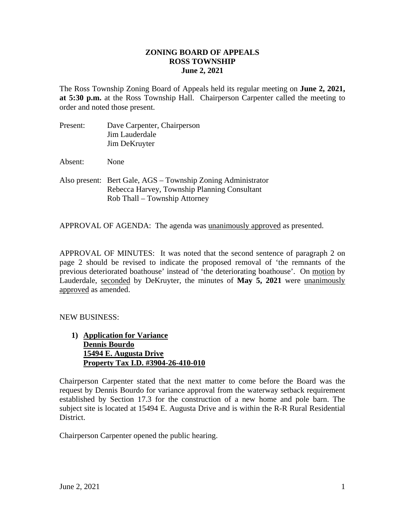## **ZONING BOARD OF APPEALS ROSS TOWNSHIP June 2, 2021**

The Ross Township Zoning Board of Appeals held its regular meeting on **June 2, 2021, at 5:30 p.m.** at the Ross Township Hall. Chairperson Carpenter called the meeting to order and noted those present.

| Present: | Dave Carpenter, Chairperson<br>Jim Lauderdale<br>Jim DeKruyter                                                                                |
|----------|-----------------------------------------------------------------------------------------------------------------------------------------------|
| Absent:  | <b>None</b>                                                                                                                                   |
|          | Also present: Bert Gale, AGS – Township Zoning Administrator<br>Rebecca Harvey, Township Planning Consultant<br>Rob Thall – Township Attorney |

APPROVAL OF AGENDA: The agenda was unanimously approved as presented.

APPROVAL OF MINUTES: It was noted that the second sentence of paragraph 2 on page 2 should be revised to indicate the proposed removal of 'the remnants of the previous deteriorated boathouse' instead of 'the deteriorating boathouse'. On motion by Lauderdale, seconded by DeKruyter, the minutes of **May 5, 2021** were unanimously approved as amended.

NEW BUSINESS:

**1) Application for Variance Dennis Bourdo 15494 E. Augusta Drive Property Tax I.D. #3904-26-410-010**

Chairperson Carpenter stated that the next matter to come before the Board was the request by Dennis Bourdo for variance approval from the waterway setback requirement established by Section 17.3 for the construction of a new home and pole barn. The subject site is located at 15494 E. Augusta Drive and is within the R-R Rural Residential District.

Chairperson Carpenter opened the public hearing.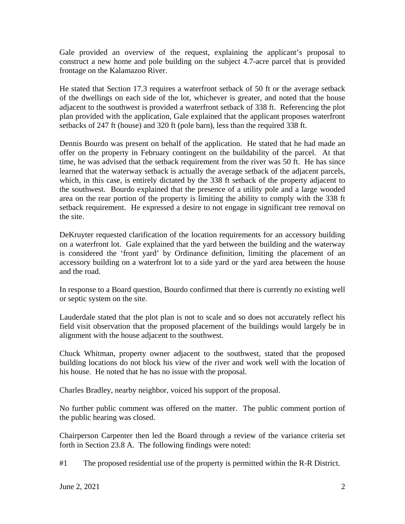Gale provided an overview of the request, explaining the applicant's proposal to construct a new home and pole building on the subject 4.7-acre parcel that is provided frontage on the Kalamazoo River.

He stated that Section 17.3 requires a waterfront setback of 50 ft or the average setback of the dwellings on each side of the lot, whichever is greater, and noted that the house adjacent to the southwest is provided a waterfront setback of 338 ft. Referencing the plot plan provided with the application, Gale explained that the applicant proposes waterfront setbacks of 247 ft (house) and 320 ft (pole barn), less than the required 338 ft.

Dennis Bourdo was present on behalf of the application. He stated that he had made an offer on the property in February contingent on the buildability of the parcel. At that time, he was advised that the setback requirement from the river was 50 ft. He has since learned that the waterway setback is actually the average setback of the adjacent parcels, which, in this case, is entirely dictated by the 338 ft setback of the property adjacent to the southwest. Bourdo explained that the presence of a utility pole and a large wooded area on the rear portion of the property is limiting the ability to comply with the 338 ft setback requirement. He expressed a desire to not engage in significant tree removal on the site.

DeKruyter requested clarification of the location requirements for an accessory building on a waterfront lot. Gale explained that the yard between the building and the waterway is considered the 'front yard' by Ordinance definition, limiting the placement of an accessory building on a waterfront lot to a side yard or the yard area between the house and the road.

In response to a Board question, Bourdo confirmed that there is currently no existing well or septic system on the site.

Lauderdale stated that the plot plan is not to scale and so does not accurately reflect his field visit observation that the proposed placement of the buildings would largely be in alignment with the house adjacent to the southwest.

Chuck Whitman, property owner adjacent to the southwest, stated that the proposed building locations do not block his view of the river and work well with the location of his house. He noted that he has no issue with the proposal.

Charles Bradley, nearby neighbor, voiced his support of the proposal.

No further public comment was offered on the matter. The public comment portion of the public hearing was closed.

Chairperson Carpenter then led the Board through a review of the variance criteria set forth in Section 23.8 A. The following findings were noted:

#1 The proposed residential use of the property is permitted within the R-R District.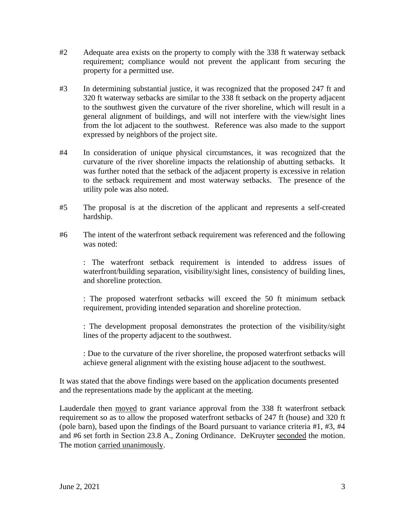- #2 Adequate area exists on the property to comply with the 338 ft waterway setback requirement; compliance would not prevent the applicant from securing the property for a permitted use.
- #3 In determining substantial justice, it was recognized that the proposed 247 ft and 320 ft waterway setbacks are similar to the 338 ft setback on the property adjacent to the southwest given the curvature of the river shoreline, which will result in a general alignment of buildings, and will not interfere with the view/sight lines from the lot adjacent to the southwest. Reference was also made to the support expressed by neighbors of the project site.
- #4 In consideration of unique physical circumstances, it was recognized that the curvature of the river shoreline impacts the relationship of abutting setbacks. It was further noted that the setback of the adjacent property is excessive in relation to the setback requirement and most waterway setbacks. The presence of the utility pole was also noted.
- #5 The proposal is at the discretion of the applicant and represents a self-created hardship.
- #6 The intent of the waterfront setback requirement was referenced and the following was noted:

: The waterfront setback requirement is intended to address issues of waterfront/building separation, visibility/sight lines, consistency of building lines, and shoreline protection.

: The proposed waterfront setbacks will exceed the 50 ft minimum setback requirement, providing intended separation and shoreline protection.

: The development proposal demonstrates the protection of the visibility/sight lines of the property adjacent to the southwest.

: Due to the curvature of the river shoreline, the proposed waterfront setbacks will achieve general alignment with the existing house adjacent to the southwest.

It was stated that the above findings were based on the application documents presented and the representations made by the applicant at the meeting.

Lauderdale then moved to grant variance approval from the 338 ft waterfront setback requirement so as to allow the proposed waterfront setbacks of 247 ft (house) and 320 ft (pole barn), based upon the findings of the Board pursuant to variance criteria #1, #3, #4 and #6 set forth in Section 23.8 A., Zoning Ordinance. DeKruyter seconded the motion. The motion carried unanimously.